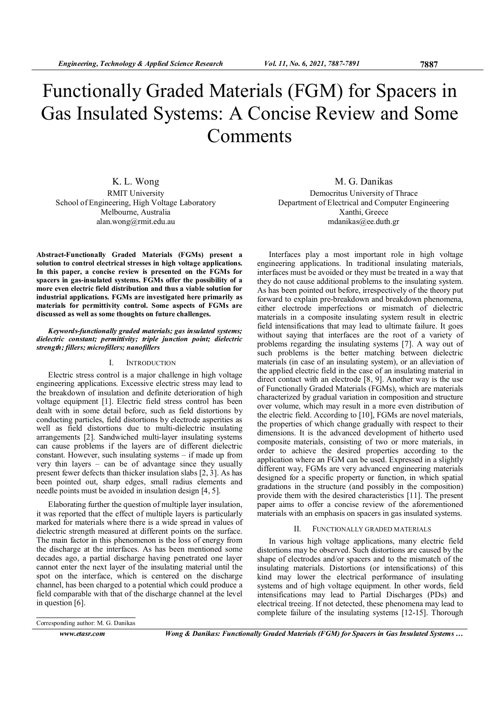# Functionally Graded Materials (FGM) for Spacers in Gas Insulated Systems: A Concise Review and Some Comments

K. L. Wong RMIT University School of Engineering, High Voltage Laboratory Melbourne, Australia alan.wong@rmit.edu.au

M. G. Danikas Democritus University of Thrace Department of Electrical and Computer Engineering Xanthi, Greece mdanikas@ee.duth.gr

Abstract-Functionally Graded Materials (FGMs) present a solution to control electrical stresses in high voltage applications. In this paper, a concise review is presented on the FGMs for spacers in gas-insulated systems. FGMs offer the possibility of a more even electric field distribution and thus a viable solution for industrial applications. FGMs are investigated here primarily as materials for permittivity control. Some aspects of FGMs are discussed as well as some thoughts on future challenges.

#### Keywords-functionally graded materials; gas insulated systems; dielectric constant; permittivity; triple junction point; dielectric strength; fillers; microfillers; nanofillers

## I. INTRODUCTION

Electric stress control is a major challenge in high voltage engineering applications. Excessive electric stress may lead to the breakdown of insulation and definite deterioration of high voltage equipment [1]. Electric field stress control has been dealt with in some detail before, such as field distortions by conducting particles, field distortions by electrode asperities as well as field distortions due to multi-dielectric insulating arrangements [2]. Sandwiched multi-layer insulating systems can cause problems if the layers are of different dielectric constant. However, such insulating systems – if made up from very thin layers – can be of advantage since they usually present fewer defects than thicker insulation slabs [2, 3]. As has been pointed out, sharp edges, small radius elements and needle points must be avoided in insulation design [4, 5].

Elaborating further the question of multiple layer insulation, it was reported that the effect of multiple layers is particularly marked for materials where there is a wide spread in values of dielectric strength measured at different points on the surface. The main factor in this phenomenon is the loss of energy from the discharge at the interfaces. As has been mentioned some decades ago, a partial discharge having penetrated one layer cannot enter the next layer of the insulating material until the spot on the interface, which is centered on the discharge channel, has been charged to a potential which could produce a field comparable with that of the discharge channel at the level in question [6].

Interfaces play a most important role in high voltage engineering applications. In traditional insulating materials, interfaces must be avoided or they must be treated in a way that they do not cause additional problems to the insulating system. As has been pointed out before, irrespectively of the theory put forward to explain pre-breakdown and breakdown phenomena, either electrode imperfections or mismatch of dielectric materials in a composite insulating system result in electric field intensifications that may lead to ultimate failure. It goes without saying that interfaces are the root of a variety of problems regarding the insulating systems [7]. A way out of such problems is the better matching between dielectric materials (in case of an insulating system), or an alleviation of the applied electric field in the case of an insulating material in direct contact with an electrode [8, 9]. Another way is the use of Functionally Graded Materials (FGMs), which are materials characterized by gradual variation in composition and structure over volume, which may result in a more even distribution of the electric field. According to [10], FGMs are novel materials, the properties of which change gradually with respect to their dimensions. It is the advanced development of hitherto used composite materials, consisting of two or more materials, in order to achieve the desired properties according to the application where an FGM can be used. Expressed in a slightly different way, FGMs are very advanced engineering materials designed for a specific property or function, in which spatial gradations in the structure (and possibly in the composition) provide them with the desired characteristics [11]. The present paper aims to offer a concise review of the aforementioned materials with an emphasis on spacers in gas insulated systems.

## II. FUNCTIONALLY GRADED MATERIALS

In various high voltage applications, many electric field distortions may be observed. Such distortions are caused by the shape of electrodes and/or spacers and to the mismatch of the insulating materials. Distortions (or intensifications) of this kind may lower the electrical performance of insulating systems and of high voltage equipment. In other words, field intensifications may lead to Partial Discharges (PDs) and electrical treeing. If not detected, these phenomena may lead to complete failure of the insulating systems [12-15]. Thorough

Corresponding author: M. G. Danikas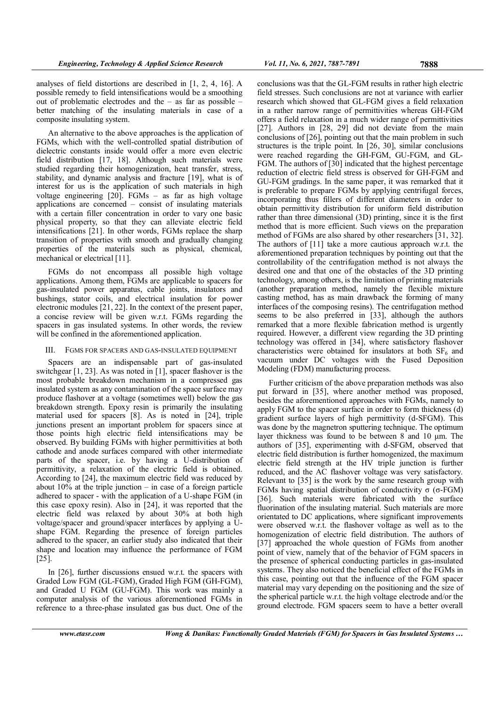analyses of field distortions are described in [1, 2, 4, 16]. A possible remedy to field intensifications would be a smoothing out of problematic electrodes and the – as far as possible – better matching of the insulating materials in case of a composite insulating system.

An alternative to the above approaches is the application of FGMs, which with the well-controlled spatial distribution of dielectric constants inside would offer a more even electric field distribution [17, 18]. Although such materials were studied regarding their homogenization, heat transfer, stress, stability, and dynamic analysis and fracture [19], what is of interest for us is the application of such materials in high voltage engineering [20]. FGMs – as far as high voltage applications are concerned – consist of insulating materials with a certain filler concentration in order to vary one basic physical property, so that they can alleviate electric field intensifications [21]. In other words, FGMs replace the sharp transition of properties with smooth and gradually changing properties of the materials such as physical, chemical, mechanical or electrical [11].

FGMs do not encompass all possible high voltage applications. Among them, FGMs are applicable to spacers for gas-insulated power apparatus, cable joints, insulators and bushings, stator coils, and electrical insulation for power electronic modules [21, 22]. In the context of the present paper, a concise review will be given w.r.t. FGMs regarding the spacers in gas insulated systems. In other words, the review will be confined in the aforementioned application.

#### III. FGMS FOR SPACERS AND GAS-INSULATED EQUIPMENT

Spacers are an indispensable part of gas-insulated switchgear [1, 23]. As was noted in [1], spacer flashover is the most probable breakdown mechanism in a compressed gas insulated system as any contamination of the space surface may produce flashover at a voltage (sometimes well) below the gas breakdown strength. Epoxy resin is primarily the insulating material used for spacers [8]. As is noted in [24], triple junctions present an important problem for spacers since at those points high electric field intensifications may be observed. By building FGMs with higher permittivities at both cathode and anode surfaces compared with other intermediate parts of the spacer, i.e. by having a U-distribution of permittivity, a relaxation of the electric field is obtained. According to [24], the maximum electric field was reduced by about  $10\%$  at the triple junction – in case of a foreign particle adhered to spacer - with the application of a U-shape FGM (in this case epoxy resin). Also in [24], it was reported that the electric field was relaxed by about 30% at both high voltage/spacer and ground/spacer interfaces by applying a Ushape FGM. Regarding the presence of foreign particles adhered to the spacer, an earlier study also indicated that their shape and location may influence the performance of FGM [25].

In [26], further discussions ensued w.r.t. the spacers with Graded Low FGM (GL-FGM), Graded High FGM (GH-FGM), and Graded U FGM (GU-FGM). This work was mainly a computer analysis of the various aforementioned FGMs in reference to a three-phase insulated gas bus duct. One of the conclusions was that the GL-FGM results in rather high electric field stresses. Such conclusions are not at variance with earlier research which showed that GL-FGM gives a field relaxation in a rather narrow range of permittivities whereas GH-FGM offers a field relaxation in a much wider range of permittivities [27]. Authors in [28, 29] did not deviate from the main conclusions of [26], pointing out that the main problem in such structures is the triple point. In [26, 30], similar conclusions were reached regarding the GH-FGM, GU-FGM, and GL-FGM. The authors of [30] indicated that the highest percentage reduction of electric field stress is observed for GH-FGM and GU-FGM gradings. In the same paper, it was remarked that it is preferable to prepare FGMs by applying centrifugal forces, incorporating thus fillers of different diameters in order to obtain permittivity distribution for uniform field distribution rather than three dimensional (3D) printing, since it is the first method that is more efficient. Such views on the preparation method of FGMs are also shared by other researchers [31, 32]. The authors of [11] take a more cautious approach w.r.t. the aforementioned preparation techniques by pointing out that the controllability of the centrifugation method is not always the desired one and that one of the obstacles of the 3D printing technology, among others, is the limitation of printing materials (another preparation method, namely the flexible mixture casting method, has as main drawback the forming of many interfaces of the composing resins). The centrifugation method seems to be also preferred in [33], although the authors remarked that a more flexible fabrication method is urgently required. However, a different view regarding the 3D printing technology was offered in [34], where satisfactory flashover characteristics were obtained for insulators at both  $SF<sub>6</sub>$  and vacuum under DC voltages with the Fused Deposition Modeling (FDM) manufacturing process.

Further criticism of the above preparation methods was also put forward in [35], where another method was proposed, besides the aforementioned approaches with FGMs, namely to apply FGM to the spacer surface in order to form thickness (d) gradient surface layers of high permittivity (d-SFGM). This was done by the magnetron sputtering technique. The optimum layer thickness was found to be between 8 and 10 µm. The authors of [35], experimenting with d-SFGM, observed that electric field distribution is further homogenized, the maximum electric field strength at the HV triple junction is further reduced, and the AC flashover voltage was very satisfactory. Relevant to [35] is the work by the same research group with FGMs having spatial distribution of conductivity σ (σ-FGM) [36]. Such materials were fabricated with the surface fluorination of the insulating material. Such materials are more orientated to DC applications, where significant improvements were observed w.r.t. the flashover voltage as well as to the homogenization of electric field distribution. The authors of [37] approached the whole question of FGMs from another point of view, namely that of the behavior of FGM spacers in the presence of spherical conducting particles in gas-insulated systems. They also noticed the beneficial effect of the FGMs in this case, pointing out that the influence of the FGM spacer material may vary depending on the positioning and the size of the spherical particle w.r.t. the high voltage electrode and/or the ground electrode. FGM spacers seem to have a better overall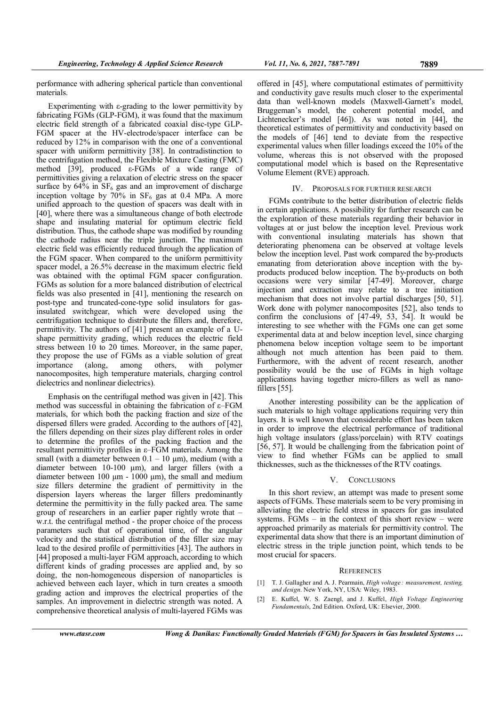performance with adhering spherical particle than conventional materials.

Experimenting with  $\varepsilon$ -grading to the lower permittivity by fabricating FGMs (GLP-FGM), it was found that the maximum electric field strength of a fabricated coaxial disc-type GLP-FGM spacer at the HV-electrode/spacer interface can be reduced by 12% in comparison with the one of a conventional spacer with uniform permittivity [38]. In contradistinction to the centrifugation method, the Flexible Mixture Casting (FMC) method [39], produced  $\epsilon$ -FGMs of a wide range of permittivities giving a relaxation of electric stress on the spacer surface by  $64\%$  in  $SF_6$  gas and an improvement of discharge inception voltage by  $70\%$  in SF<sub>6</sub> gas at 0.4 MPa. A more unified approach to the question of spacers was dealt with in [40], where there was a simultaneous change of both electrode shape and insulating material for optimum electric field distribution. Thus, the cathode shape was modified by rounding the cathode radius near the triple junction. The maximum electric field was efficiently reduced through the application of the FGM spacer. When compared to the uniform permittivity spacer model, a 26.5% decrease in the maximum electric field was obtained with the optimal FGM spacer configuration. FGMs as solution for a more balanced distribution of electrical fields was also presented in [41], mentioning the research on post-type and truncated-cone-type solid insulators for gasinsulated switchgear, which were developed using the centrifugation technique to distribute the fillers and, therefore, permittivity. The authors of [41] present an example of a Ushape permittivity grading, which reduces the electric field stress between 10 to 20 times. Moreover, in the same paper, they propose the use of FGMs as a viable solution of great importance (along, among others, with polymer nanocomposites, high temperature materials, charging control dielectrics and nonlinear dielectrics).

Emphasis on the centrifugal method was given in [42]. This method was successful in obtaining the fabrication of ε–FGM materials, for which both the packing fraction and size of the dispersed fillers were graded. According to the authors of [42], the fillers depending on their sizes play different roles in order to determine the profiles of the packing fraction and the resultant permittivity profiles in ε–FGM materials. Among the small (with a diameter between  $0.1 - 10$  um), medium (with a diameter between 10-100 µm), and larger fillers (with a diameter between  $100 \mu m - 1000 \mu m$ , the small and medium size fillers determine the gradient of permittivity in the dispersion layers whereas the larger fillers predominantly determine the permittivity in the fully packed area. The same group of researchers in an earlier paper rightly wrote that – w.r.t. the centrifugal method - the proper choice of the process parameters such that of operational time, of the angular velocity and the statistical distribution of the filler size may lead to the desired profile of permittivities [43]. The authors in [44] proposed a multi-layer FGM approach, according to which different kinds of grading processes are applied and, by so doing, the non-homogeneous dispersion of nanoparticles is achieved between each layer, which in turn creates a smooth grading action and improves the electrical properties of the samples. An improvement in dielectric strength was noted. A comprehensive theoretical analysis of multi-layered FGMs was

offered in [45], where computational estimates of permittivity and conductivity gave results much closer to the experimental data than well-known models (Maxwell-Garnett's model, Bruggeman's model, the coherent potential model, and Lichtenecker's model [46]). As was noted in [44], the theoretical estimates of permittivity and conductivity based on the models of [46] tend to deviate from the respective experimental values when filler loadings exceed the 10% of the volume, whereas this is not observed with the proposed computational model which is based on the Representative Volume Element (RVE) approach.

### IV. PROPOSALS FOR FURTHER RESEARCH

FGMs contribute to the better distribution of electric fields in certain applications. A possibility for further research can be the exploration of these materials regarding their behavior in voltages at or just below the inception level. Previous work with conventional insulating materials has shown that deteriorating phenomena can be observed at voltage levels below the inception level. Past work compared the by-products emanating from deterioration above inception with the byproducts produced below inception. The by-products on both occasions were very similar [47-49]. Moreover, charge injection and extraction may relate to a tree initiation mechanism that does not involve partial discharges [50, 51]. Work done with polymer nanocomposites [52], also tends to confirm the conclusions of [47-49, 53, 54]. It would be interesting to see whether with the FGMs one can get some experimental data at and below inception level, since charging phenomena below inception voltage seem to be important although not much attention has been paid to them. Furthermore, with the advent of recent research, another possibility would be the use of FGMs in high voltage applications having together micro-fillers as well as nanofillers [55].

Another interesting possibility can be the application of such materials to high voltage applications requiring very thin layers. It is well known that considerable effort has been taken in order to improve the electrical performance of traditional high voltage insulators (glass/porcelain) with RTV coatings [56, 57]. It would be challenging from the fabrication point of view to find whether FGMs can be applied to small thicknesses, such as the thicknesses of the RTV coatings.

#### V. CONCLUSIONS

In this short review, an attempt was made to present some aspects of FGMs. These materials seem to be very promising in alleviating the electric field stress in spacers for gas insulated systems. FGMs  $-$  in the context of this short review  $-$  were approached primarily as materials for permittivity control. The experimental data show that there is an important diminution of electric stress in the triple junction point, which tends to be most crucial for spacers.

#### **REFERENCES**

- [1] T. J. Gallagher and A. J. Pearmain, High voltage : measurement, testing, and design. New York, NY, USA: Wiley, 1983.
- [2] E. Kuffel, W. S. Zaengl, and J. Kuffel, High Voltage Engineering Fundamentals, 2nd Edition. Oxford, UK: Elsevier, 2000.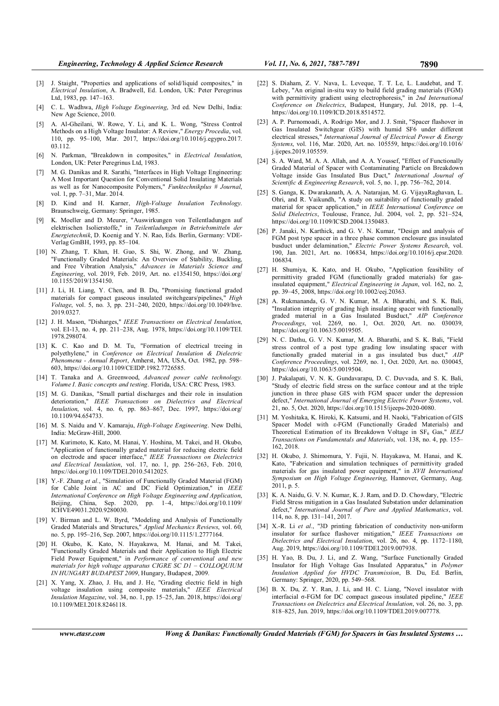- [3] J. Staight, "Properties and applications of solid/liquid composites," in Electrical Insulation, A. Bradwell, Ed. London, UK: Peter Peregrinus Ltd, 1983, pp. 147–163.
- [4] C. L. Wadhwa, High Voltage Engineering, 3rd ed. New Delhi, India: New Age Science, 2010.
- [5] A. Al-Gheilani, W. Rowe, Y. Li, and K. L. Wong, "Stress Control Methods on a High Voltage Insulator: A Review," Energy Procedia, vol. 110, pp. 95–100, Mar. 2017, https://doi.org/10.1016/j.egypro.2017. 03.112.
- [6] N. Parkman, "Breakdown in composites," in *Electrical Insulation*, London, UK: Peter Peregrinus Ltd, 1983.
- [7] M. G. Danikas and R. Sarathi, "Interfaces in High Voltage Engineering: A Most Important Question for Conventional Solid Insulating Materials as well as for Nanocomposite Polymers," Funktechnikplus # Journal, vol. 1, pp. 7–31, Mar. 2014.
- [8] D. Kind and H. Karner, High-Voltage Insulation Technology. Braunschweig, Germany: Springer, 1985.
- [9] K. Moeller and D. Meurer, "Auswirkungen von Teilentladungen auf elektrischen Isolierstoffe," in Teilentladungen in Betriebsmitteln der Energietechnik, D. Koenig and Y. N. Rao, Eds. Berlin, Germany: VDE-Verlag GmBH, 1993, pp. 85–104.
- [10] N. Zhang, T. Khan, H. Guo, S. Shi, W. Zhong, and W. Zhang, "Functionally Graded Materials: An Overview of Stability, Buckling, and Free Vibration Analysis," Advances in Materials Science and Engineering, vol. 2019, Feb. 2019, Art. no. e1354150, https://doi.org/ 10.1155/2019/1354150.
- [11] J. Li, H. Liang, Y. Chen, and B. Du, "Promising functional graded materials for compact gaseous insulated switchgears/pipelines," High Voltage, vol. 5, no. 3, pp. 231–240, 2020, https://doi.org/10.1049/hve. 2019.0327.
- [12] J. H. Mason, "Disharges," IEEE Transactions on Electrical Insulation, vol. EI-13, no. 4, pp. 211–238, Aug. 1978, https://doi.org/10.1109/TEI. 1978.298074.
- [13] K. C. Kao and D. M. Tu, "Formation of electrical treeing in polyethylene," in Conference on Electrical Insulation & Dielectric Phenomena - Annual Report, Amherst, MA, USA, Oct. 1982, pp. 598– 603, https://doi.org/10.1109/CEIDP.1982.7726585.
- [14] T. Tanaka and A. Greenwood, Advanced power cable technology. Volume I. Basic concepts and testing. Florida, USA: CRC Press, 1983.
- [15] M. G. Danikas, "Small partial discharges and their role in insulation deterioration," IEEE Transactions on Dielectrics and Electrical Insulation, vol. 4, no. 6, pp. 863–867, Dec. 1997, https://doi.org/ 10.1109/94.654733.
- [16] M. S. Naidu and V. Kamaraju, High-Voltage Engineering. New Delhi, India: McGraw-Hill, 2000.
- [17] M. Kurimoto, K. Kato, M. Hanai, Y. Hoshina, M. Takei, and H. Okubo, "Application of functionally graded material for reducing electric field on electrode and spacer interface," IEEE Transactions on Dielectrics and Electrical Insulation, vol. 17, no. 1, pp. 256–263, Feb. 2010, https://doi.org/10.1109/TDEI.2010.5412025.
- [18] Y.-F. Zhang et al., "Simulation of Functionally Graded Material (FGM) for Cable Joint in AC and DC Field Optimization," in IEEE International Conference on High Voltage Engineering and Application, Beijing, China, Sep. 2020, pp. 1–4, https://doi.org/10.1109/ ICHVE49031.2020.9280030.
- [19] V. Birman and L. W. Byrd, "Modeling and Analysis of Functionally Graded Materials and Structures," Applied Mechanics Reviews, vol. 60, no. 5, pp. 195–216, Sep. 2007, https://doi.org/10.1115/1.2777164.
- [20] H. Okubo, K. Kato, N. Hayakawa, M. Hanai, and M. Takei, "Functionally Graded Materials and their Application to High Electric Field Power Equipment," in Performance of conventional and new materials for high voltage apparatus CIGRE SC D1 – COLLOQUIUM IN HUNGARY BUDAPEST 2009, Hungary, Budapest, 2009.
- [21] X. Yang, X. Zhao, J. Hu, and J. He, "Grading electric field in high voltage insulation using composite materials," IEEE Electrical Insulation Magazine, vol. 34, no. 1, pp. 15–25, Jan. 2018, https://doi.org/ 10.1109/MEI.2018.8246118.
- [22] S. Diaham, Z. V. Nava, L. Leveque, T. T. Le, L. Laudebat, and T. Lebey, "An original in-situ way to build field grading materials (FGM) with permittivity gradient using electrophoresis," in 2nd International Conference on Dielectrics, Budapest, Hungary, Jul. 2018, pp. 1–4, https://doi.org/10.1109/ICD.2018.8514572.
- [23] A. P. Purnomoadi, A. Rodrigo Mor, and J. J. Smit, "Spacer flashover in Gas Insulated Switchgear (GIS) with humid SF6 under different electrical stresses," International Journal of Electrical Power & Energy Systems, vol. 116, Mar. 2020, Art. no. 105559, https://doi.org/10.1016/ j.ijepes.2019.105559.
- [24] S. A. Ward, M. A. A. Allah, and A. A. Youssef, "Effect of Functionally Graded Material of Spacer with Contaminating Particle on Breakdown Voltage inside Gas Insulated Bus Duct," International Journal of Scientific & Engineering Research, vol. 5, no. 1, pp. 756–762, 2014.
- [25] S. Ganga, K. Dwarakanath, A. A. Natarajan, M. G. VijayaRaghavan, L. Ohri, and R. Vaikundh, "A study on suitability of functionally graded material for spacer application," in IEEE International Conference on Solid Dielectrics, Toulouse, France, Jul. 2004, vol. 2, pp. 521–524, https://doi.org/10.1109/ICSD.2004.1350483.
- [26] P. Janaki, N. Karthick, and G. V. N. Kumar, "Design and analysis of FGM post type spacer in a three phase common enclosure gas insulated busduct under delamination," Electric Power Systems Research, vol. 190, Jan. 2021, Art. no. 106834, https://doi.org/10.1016/j.epsr.2020. 106834.
- [27] H. Shumiya, K. Kato, and H. Okubo, "Application feasibility of permittivity graded FGM (functionally graded materials) for gasinsulated equipment," Electrical Engineering in Japan, vol. 162, no. 2, pp. 39–45, 2008, https://doi.org/10.1002/eej.20363.
- [28] A. Rukmananda, G. V. N. Kumar, M. A. Bharathi, and S. K. Bali, "Insulation integrity of grading high insulating spacer with functionally graded material in a Gas Insulated Busduct," AIP Conference Proceedings, vol. 2269, no. 1, Oct. 2020, Art. no. 030039, https://doi.org/10.1063/5.0019505.
- [29] N. C. Dathu, G. V. N. Kumar, M. A. Bharathi, and S. K. Bali, "Field stress control of a post type grading low insulating spacer with functionally graded material in a gas insulated bus duct," AIP Conference Proceedings, vol. 2269, no. 1, Oct. 2020, Art. no. 030045, https://doi.org/10.1063/5.0019504.
- [30] J. Pakalapati, V. N. K. Gundavarapu, D. C. Duvvada, and S. K. Bali, "Study of electric field stress on the surface contour and at the triple junction in three phase GIS with FGM spacer under the depression defect," International Journal of Emerging Electric Power Systems, vol. 21, no. 5, Oct. 2020, https://doi.org/10.1515/ijeeps-2020-0080.
- [31] M. Yoshitaka, K. Hiroki, K. Katsumi, and H. Naoki, "Fabrication of GIS Spacer Model with ε-FGM (Functionally Graded Materials) and Theoretical Estimation of its Breakdown Voltage in  $SF_6$  Gas," IEEJ Transactions on Fundamentals and Materials, vol. 138, no. 4, pp. 155– 162, 2018.
- [32] H. Okubo, J. Shimomura, Y. Fujii, N. Hayakawa, M. Hanai, and K. Kato, "Fabrication and simulation techniques of permittivity graded materials for gas insulated power equipment," in XVII International Symposium on High Voltage Engineering, Hannover, Germany, Aug. 2011, p. 5.
- [33] K. A. Naidu, G. V. N. Kumar, K. J. Ram, and D. D. Chowdary, "Electric Field Stress mitigation in a Gas Insulated Substation under delamination defect," International Journal of Pure and Applied Mathematics, vol. 114, no. 8, pp. 131–141, 2017.
- [34] X.-R. Li et al., "3D printing fabrication of conductivity non-uniform insulator for surface flashover mitigation," IEEE Transactions on Dielectrics and Electrical Insulation, vol. 26, no. 4, pp. 1172–1180, Aug. 2019, https://doi.org/10.1109/TDEI.2019.007938.
- [35] H. Yao, B. Du, J. Li, and Z. Wang, "Surface Functionally Graded Insulator for High Voltage Gas Insulated Apparatus," in Polymer Insulation Applied for HVDC Transmission, B. Du, Ed. Berlin, Germany: Springer, 2020, pp. 549–568.
- [36] B. X. Du, Z. Y. Ran, J. Li, and H. C. Liang, "Novel insulator with interfacial σ-FGM for DC compact gaseous insulated pipeline," IEEE Transactions on Dielectrics and Electrical Insulation, vol. 26, no. 3, pp. 818–825, Jun. 2019, https://doi.org/10.1109/TDEI.2019.007778.